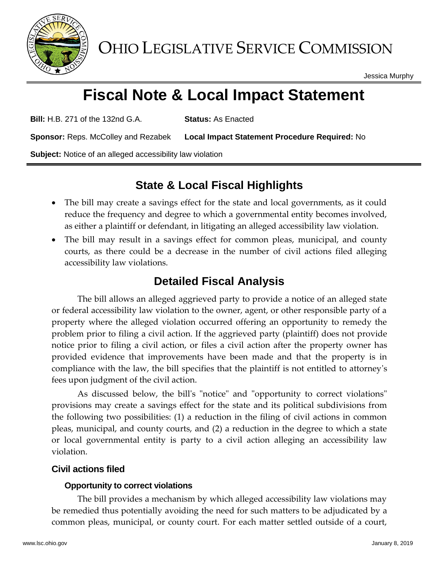

Jessica Murphy

# **Fiscal Note & Local Impact Statement**

**Bill:** H.B. 271 of the 132nd G.A. **Status:** As Enacted

**Sponsor:** Reps. McColley and Rezabek **Local Impact Statement Procedure Required:** No

**Subject:** Notice of an alleged accessibility law violation

## **State & Local Fiscal Highlights**

- The bill may create a savings effect for the state and local governments, as it could reduce the frequency and degree to which a governmental entity becomes involved, as either a plaintiff or defendant, in litigating an alleged accessibility law violation.
- The bill may result in a savings effect for common pleas, municipal, and county courts, as there could be a decrease in the number of civil actions filed alleging accessibility law violations.

## **Detailed Fiscal Analysis**

The bill allows an alleged aggrieved party to provide a notice of an alleged state or federal accessibility law violation to the owner, agent, or other responsible party of a property where the alleged violation occurred offering an opportunity to remedy the problem prior to filing a civil action. If the aggrieved party (plaintiff) does not provide notice prior to filing a civil action, or files a civil action after the property owner has provided evidence that improvements have been made and that the property is in compliance with the law, the bill specifies that the plaintiff is not entitled to attorney's fees upon judgment of the civil action.

As discussed below, the bill's "notice" and "opportunity to correct violations" provisions may create a savings effect for the state and its political subdivisions from the following two possibilities: (1) a reduction in the filing of civil actions in common pleas, municipal, and county courts, and (2) a reduction in the degree to which a state or local governmental entity is party to a civil action alleging an accessibility law violation.

### **Civil actions filed**

### **Opportunity to correct violations**

The bill provides a mechanism by which alleged accessibility law violations may be remedied thus potentially avoiding the need for such matters to be adjudicated by a common pleas, municipal, or county court. For each matter settled outside of a court,